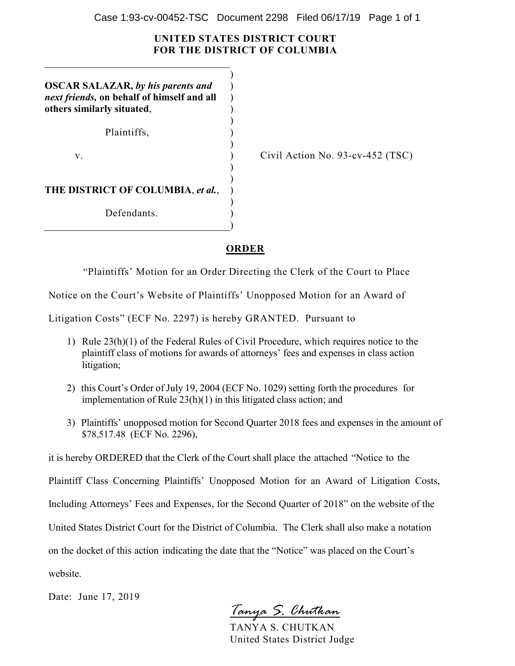## **UNITED STATES DISTRICT COURT FOR THE DISTRICT OF COLUMBIA**

)

 $\lambda$  $\lambda$ ) )

)

)

)

)

)

**OSCAR SALAZAR,** *by his parents and next friends,* **on behalf of himself and all others similarly situated**,

Plaintiffs, )

 $\mathbf{v}$ .  $\qquad \qquad$  )

Civil Action No. 93-cv-452 (TSC)

**THE DISTRICT OF COLUMBIA**, *et al.*, )

Defendants.

## **ORDER**

"Plaintiffs' Motion for an Order Directing the Clerk of the Court to Place

Notice on the Court's Website of Plaintiffs' Unopposed Motion for an Award of

Litigation Costs" (ECF No. 2297) is hereby GRANTED. Pursuant to

- 1) Rule 23(h)(1) of the Federal Rules of Civil Procedure, which requires notice to the plaintiff class of motions for awards of attorneys' fees and expenses in class action litigation;
- 2) this Court's Order of July 19, 2004 (ECF No. 1029) setting forth the procedures for implementation of Rule 23(h)(1) in this litigated class action; and
- 3) Plaintiffs' unopposed motion for Second Quarter 2018 fees and expenses in the amount of \$78,517.48 (ECF No. 2296),

it is hereby ORDERED that the Clerk of the Court shall place the attached "Notice to the

Plaintiff Class Concerning Plaintiffs' Unopposed Motion for an Award of Litigation Costs,

Including Attorneys' Fees and Expenses, for the Second Quarter of 2018" on the website of the

United States District Court for the District of Columbia. The Clerk shall also make a notation

on the docket of this action indicating the date that the "Notice" was placed on the Court's

website.

Date: June 17, 2019

*Tanya S. Chutkan*

TANYA S. CHUTKAN United States District Judge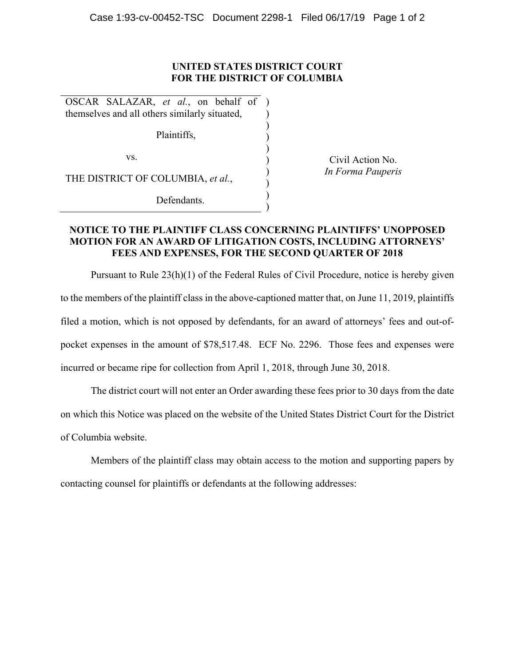## **UNITED STATES DISTRICT COURT FOR THE DISTRICT OF COLUMBIA**

) ) ) ) ) ) ) ) )

OSCAR SALAZAR, *et al.*, on behalf of ) themselves and all others similarly situated,

Plaintiffs,

vs.

THE DISTRICT OF COLUMBIA, *et al.*,

Defendants.

Civil Action No. *In Forma Pauperis* 

## **NOTICE TO THE PLAINTIFF CLASS CONCERNING PLAINTIFFS' UNOPPOSED MOTION FOR AN AWARD OF LITIGATION COSTS, INCLUDING ATTORNEYS' FEES AND EXPENSES, FOR THE SECOND QUARTER OF 2018**

Pursuant to Rule 23(h)(1) of the Federal Rules of Civil Procedure, notice is hereby given to the members of the plaintiff class in the above-captioned matter that, on June 11, 2019, plaintiffs filed a motion, which is not opposed by defendants, for an award of attorneys' fees and out-ofpocket expenses in the amount of \$78,517.48. ECF No. 2296. Those fees and expenses were incurred or became ripe for collection from April 1, 2018, through June 30, 2018.

The district court will not enter an Order awarding these fees prior to 30 days from the date on which this Notice was placed on the website of the United States District Court for the District of Columbia website.

Members of the plaintiff class may obtain access to the motion and supporting papers by contacting counsel for plaintiffs or defendants at the following addresses: